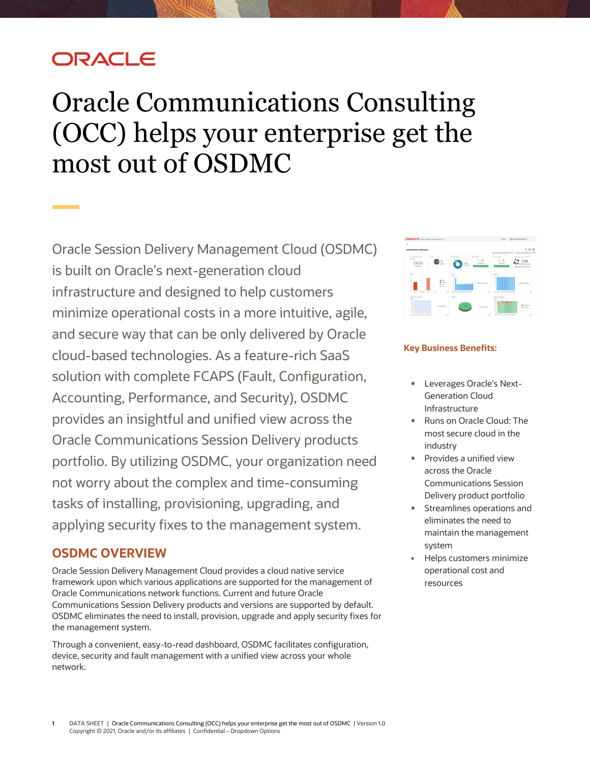## **DRACLE**

# <span id="page-0-0"></span>Oracle Communications Consulting (OCC) helps your enterprise get the most out of OSDMC

Oracle Session Delivery Management Cloud (OSDMC) is built on Oracle's next-generation cloud infrastructure and designed to help customers minimize operational costs in a more intuitive, agile, and secure way that can be only delivered by Oracle cloud-based technologies. As a feature-rich SaaS solution with complete FCAPS (Fault, Configuration, Accounting, Performance, and Security), OSDMC provides an insightful and unified view across the Oracle Communications Session Delivery products portfolio. By utilizing OSDMC, your organization need not worry about the complex and time-consuming tasks of installing, provisioning, upgrading, and applying security fixes to the management system.

#### **OSDMC OVERVIEW**

Oracle Session Delivery Management Cloud provides a cloud native service framework upon which various applications are supported for the management of Oracle Communications network functions. Current and future Oracle Communications Session Delivery products and versions are supported by default. OSDMC eliminates the need to install, provision, upgrade and apply security fixes for the management system.

Through a convenient, easy-to-read dashboard, OSDMC facilitates configuration, device, security and fault management with a unified view across your whole network.



#### **Key Business Benefits:**

- Leverages Oracle's Next-Generation Cloud Infrastructure
- Runs on Oracle Cloud: The most secure cloud in the industry
- Provides a unified view across the Oracle Communications Session Delivery product portfolio
- Streamlines operations and eliminates the need to maintain the management system
- Helps customers minimize operational cost and resources